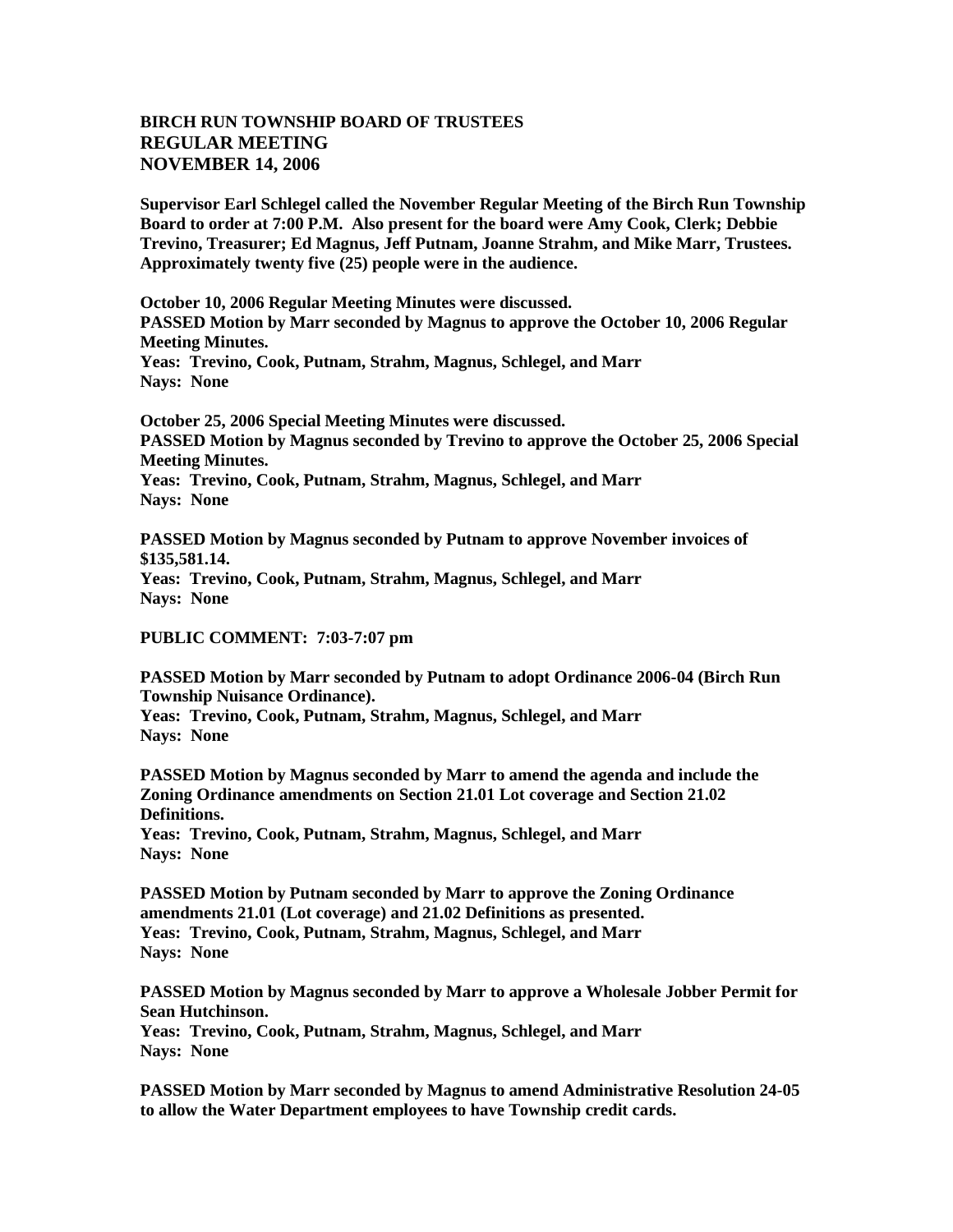## **BIRCH RUN TOWNSHIP BOARD OF TRUSTEES REGULAR MEETING NOVEMBER 14, 2006**

**Supervisor Earl Schlegel called the November Regular Meeting of the Birch Run Township Board to order at 7:00 P.M. Also present for the board were Amy Cook, Clerk; Debbie Trevino, Treasurer; Ed Magnus, Jeff Putnam, Joanne Strahm, and Mike Marr, Trustees. Approximately twenty five (25) people were in the audience.** 

**October 10, 2006 Regular Meeting Minutes were discussed. PASSED Motion by Marr seconded by Magnus to approve the October 10, 2006 Regular Meeting Minutes. Yeas: Trevino, Cook, Putnam, Strahm, Magnus, Schlegel, and Marr Nays: None** 

**October 25, 2006 Special Meeting Minutes were discussed. PASSED Motion by Magnus seconded by Trevino to approve the October 25, 2006 Special Meeting Minutes. Yeas: Trevino, Cook, Putnam, Strahm, Magnus, Schlegel, and Marr Nays: None**

**PASSED Motion by Magnus seconded by Putnam to approve November invoices of \$135,581.14. Yeas: Trevino, Cook, Putnam, Strahm, Magnus, Schlegel, and Marr Nays: None** 

**PUBLIC COMMENT: 7:03-7:07 pm**

**PASSED Motion by Marr seconded by Putnam to adopt Ordinance 2006-04 (Birch Run Township Nuisance Ordinance). Yeas: Trevino, Cook, Putnam, Strahm, Magnus, Schlegel, and Marr**

**Nays: None** 

**PASSED Motion by Magnus seconded by Marr to amend the agenda and include the Zoning Ordinance amendments on Section 21.01 Lot coverage and Section 21.02 Definitions.**

**Yeas: Trevino, Cook, Putnam, Strahm, Magnus, Schlegel, and Marr Nays: None** 

**PASSED Motion by Putnam seconded by Marr to approve the Zoning Ordinance amendments 21.01 (Lot coverage) and 21.02 Definitions as presented. Yeas: Trevino, Cook, Putnam, Strahm, Magnus, Schlegel, and Marr Nays: None** 

**PASSED Motion by Magnus seconded by Marr to approve a Wholesale Jobber Permit for Sean Hutchinson.**

**Yeas: Trevino, Cook, Putnam, Strahm, Magnus, Schlegel, and Marr Nays: None** 

**PASSED Motion by Marr seconded by Magnus to amend Administrative Resolution 24-05 to allow the Water Department employees to have Township credit cards.**